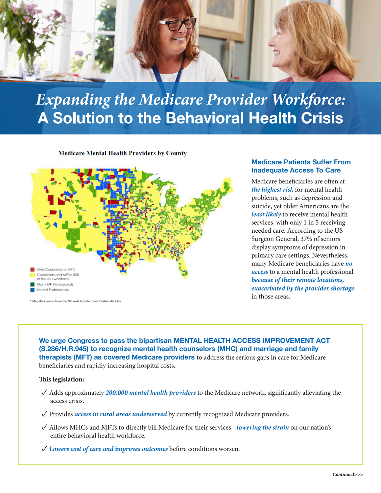

# *Expanding the Medicare Provider Workforce:*  A Solution to the Behavioral Health Crisis

**Medicare Mental Health Providers by County** 



\* Map data comes from the National Provider Identification data file

### Medicare Patients Suffer From Inadequate Access To Care

Medicare beneficiaries are often at *the highest risk* for mental health problems, such as depression and suicide, yet older Americans are the *least likely* to receive mental health services, with only 1 in 5 receiving needed care. According to the US Surgeon General, 37% of seniors display symptoms of depression in primary care settings. Nevertheless, many Medicare beneficiaries have *no access* to a mental health professional *because of their remote locations, exacerbated by the provider shortage*  in those areas.

We urge Congress to pass the bipartisan MENTAL HEALTH ACCESS IMPROVEMENT ACT (S.286/H.R.945) to recognize mental health counselors (MHC) and marriage and family therapists (MFT) as covered Medicare providers to address the serious gaps in care for Medicare beneficiaries and rapidly increasing hospital costs.

#### **This legislation:**

- ✓ Adds approximately *200,000 mental health providers* to the Medicare network, significantly alleviating the access crisis.
- ✓Provides *access in rural areas underserved* by currently recognized Medicare providers.
- ✓ Allows MHCs and MFTs to directly bill Medicare for their services *lowering the strain* on our nation's entire behavioral health workforce.
- ✓*Lowers cost of care and improves outcomes* before conditions worsen.